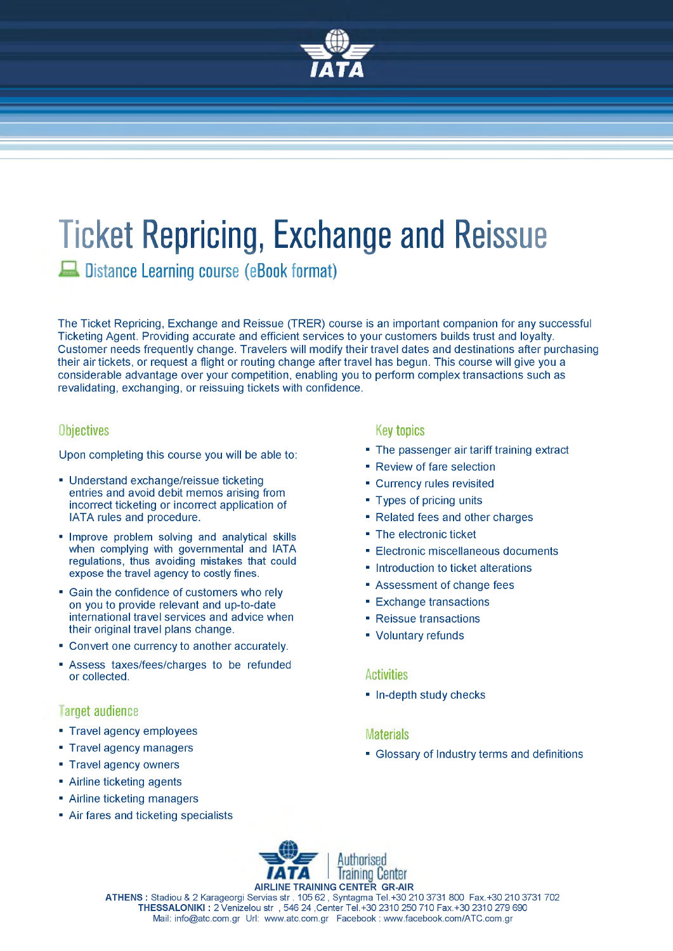

# **Ticket Repricing, Exchange and Reissue**

**Distance Learning course (eBook format)**

The Ticket Repricing, Exchange and Reissue (TRER) course is an important companion for any successful Ticketing Agent. Providing accurate and efficient services to your customers builds trust and loyalty. Customer needs frequently change. Travelers will modify their travel dates and destinations after purchasing their air tickets, or request a flight or routing change after travel has begun. This course will give you a considerable advantage over your competition, enabling you to perform complex transactions such as revalidating, exchanging, or reissuing tickets with confidence.

# **Objectives**

Upon completing this course you will be able to:

- Understand exchange/reissue ticketing entries and avoid debit memos arising from incorrect ticketing or incorrect application of IATA rules and procedure.
- Improve problem solving and analytical skills when complying with governmental and IATA regulations, thus avoiding mistakes that could expose the travel agency to costly fines.
- Gain the confidence of customers who rely on you to provide relevant and up-to-date international travel services and advice when their original travel plans change.
- Convert one currency to another accurately.
- Assess taxes/fees/charges to be refunded or collected.

# **Target audience**

- Travel agency employees
- Travel agency managers
- Travel agency owners
- Airline ticketing agents
- Airline ticketing managers
- Air fares and ticketing specialists

# **Key topics**

- The passenger air tariff training extract
- Review of fare selection
- Currency rules revisited
- Types of pricing units
- Related fees and other charges
- The electronic ticket
- Electronic miscellaneous documents
- Introduction to ticket alterations
- Assessment of change fees
- Exchange transactions
- Reissue transactions
- Voluntary refunds

## **Activities**

■ In-depth study checks

## **Materials**

■ Glossary of Industry terms and definitions



**ATHENS :** Stadiou & 2 Karageorgi Servias str . 105 62 , Syntagma Tel.+30 210 3731 800 Fax.+30 210 3731 702 **THESSALONIKI :** 2 Venizelou str , 546 24 ,Center Tel.+30 2310 250 710 Fax.+30 2310 279 690 Mail: [info@atc.com.gr](mailto:info@atc.com.gr) Url: [www.atc.com.gr](http://www.atc.com.gr) Facebook : [www.facebook.com/ATC.com.gr](http://www.facebook.com/ATC.com.gr)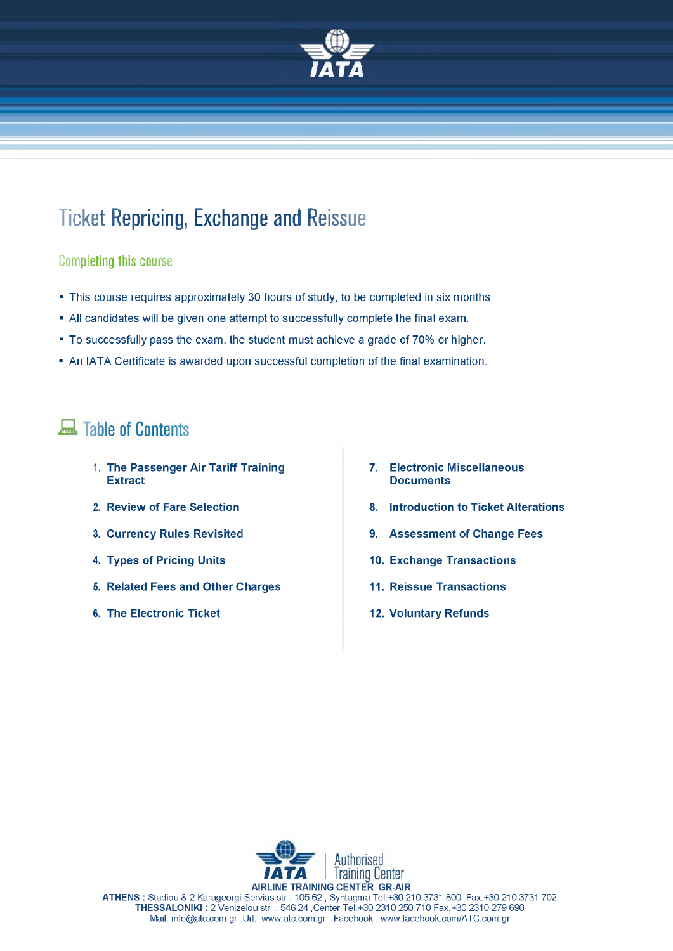

# **Ticket Repricing, Exchange and Reissue**

# **Com pleting this course**

- This course requires approximately 30 hours of study, to be completed in six months.
- All candidates will be given one attempt to successfully complete the final exam.
- To successfully pass the exam, the student must achieve a grade of 70% or higher.
- An IATA Certificate is awarded upon successful completion of the final examination.

# **Table of Contents**

- 1. **The Passenger Air Tariff Training 7. Electronic Miscellaneous**
- 
- 
- 
- **5. Related Fees and Other Charges 11. Reissue Transactions**
- **6. The Electronic Ticket 12. Voluntary Refunds**
- **Documents**
- **2. Review of Fare Selection 8. Introduction to Ticket Alterations**
- **3. Currency Rules Revisited 6. Assessment of Change Fees**
- **4. Types of Pricing Units 10. Exchange Transactions**
	-
	-



**ATHENS :** Stadiou & 2 Karageorgi Servias str . 105 62 , Syntagma Tel.+30 210 3731 800 Fax.+30 210 3731 702 **THESSALONIKI :** 2 Venizelou str , 546 24 ,Center Tel.+30 2310 250 710 Fax.+30 2310 279 690 Mail: [info@atc.com.gr](mailto:info@atc.com.gr) Url: [www.atc.com.gr](http://www.atc.com.gr) Facebook : [www.facebook.com/ATC.com.gr](http://www.facebook.com/ATC.com.gr)